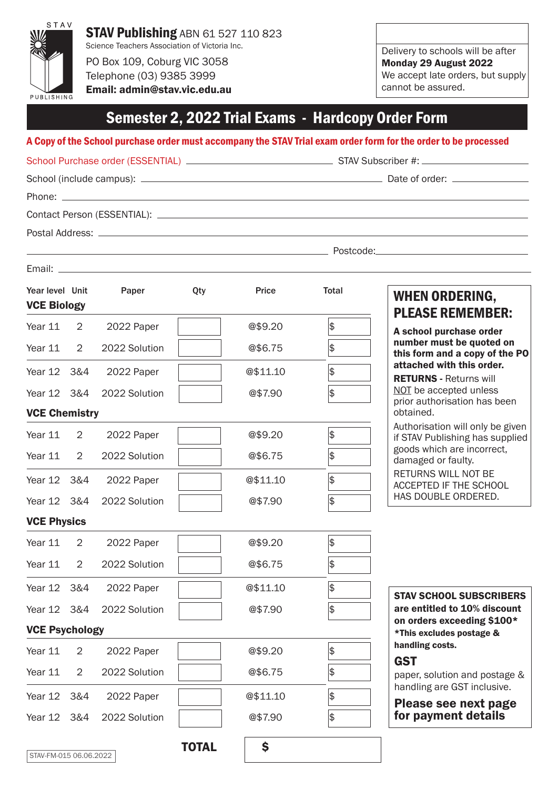

Telephone (03) 9385 3999 Email: admin@stav.vic.edu.au Delivery to schools will be after Monday 29 August 2022 We accept late orders, but supply cannot be assured.

### Semester 2, 2022 Trial Exams - Hardcopy Order Form

#### A Copy of the School purchase order must accompany the STAV Trial exam order form for the order to be processed

| <b>VCE Biology</b> | Year level Unit Paper Qty | <b>Price</b> | Total          | <b>WHEN ORDERING,</b><br><b>PLEASE REMEMBER:</b>           |
|--------------------|---------------------------|--------------|----------------|------------------------------------------------------------|
| Year 11 2          | 2022 Paper                | @\$9.20      | $ \mathsf{s} $ | A school purchase order                                    |
|                    | Year 11 2 2022 Solution   | @\$6.75      | $\frac{1}{2}$  | number must be quoted on<br>this form and a copy of the PO |

attached with this order. RETURNS - Returns will NOT be accepted unless prior authorisation has been obtained.

Authorisation will only be given if STAV Publishing has supplied goods which are incorrect, damaged or faulty.

RETURNS WILL NOT BE ACCEPTED IF THE SCHOOL HAS DOUBLE ORDERED.

VCE Physics

VCE Chemistry

| Year 11 2   | 2022 Paper                | @\$9.20  |  |
|-------------|---------------------------|----------|--|
|             | Year 11 2 2022 Solution   | @\$6.75  |  |
| Year 12 3&4 | 2022 Paper                | @\$11.10 |  |
|             | Year 12 3&4 2022 Solution | @\$7.90  |  |
|             |                           |          |  |

Year 12 3&4 2022 Paper | @\$11.10 \$

Year 12 3&4 2022 Solution |  $@$7.90$  \$

Year 11 2 2022 Paper | @\$9.20 \$

Year 11 2 2022 Solution  $\sqrt{ }$  0\$6.75  $\sqrt{ }$ 

Year 12 3&4 2022 Paper | @\$11.10 \$

Year 12 3&4 2022 Solution **6 2018 @\$7.90** \$

VCE Psychology

| Year 11 2 | 2022 Paper                | @\$9.20  |  |
|-----------|---------------------------|----------|--|
|           | Year 11 2 2022 Solution   | @\$6.75  |  |
|           | Year 12 3&4 2022 Paper    | @\$11.10 |  |
|           | Year 12 3&4 2022 Solution | @\$7.90  |  |

STAV SCHOOL SUBSCRIBERS are entitled to 10% discount on orders exceeding \$100\* \*This excludes postage & handling costs.

### **GST**

paper, solution and postage & handling are GST inclusive.

Please see next page for payment details

STAV-FM-015 06.06.2022

TOTAL \$